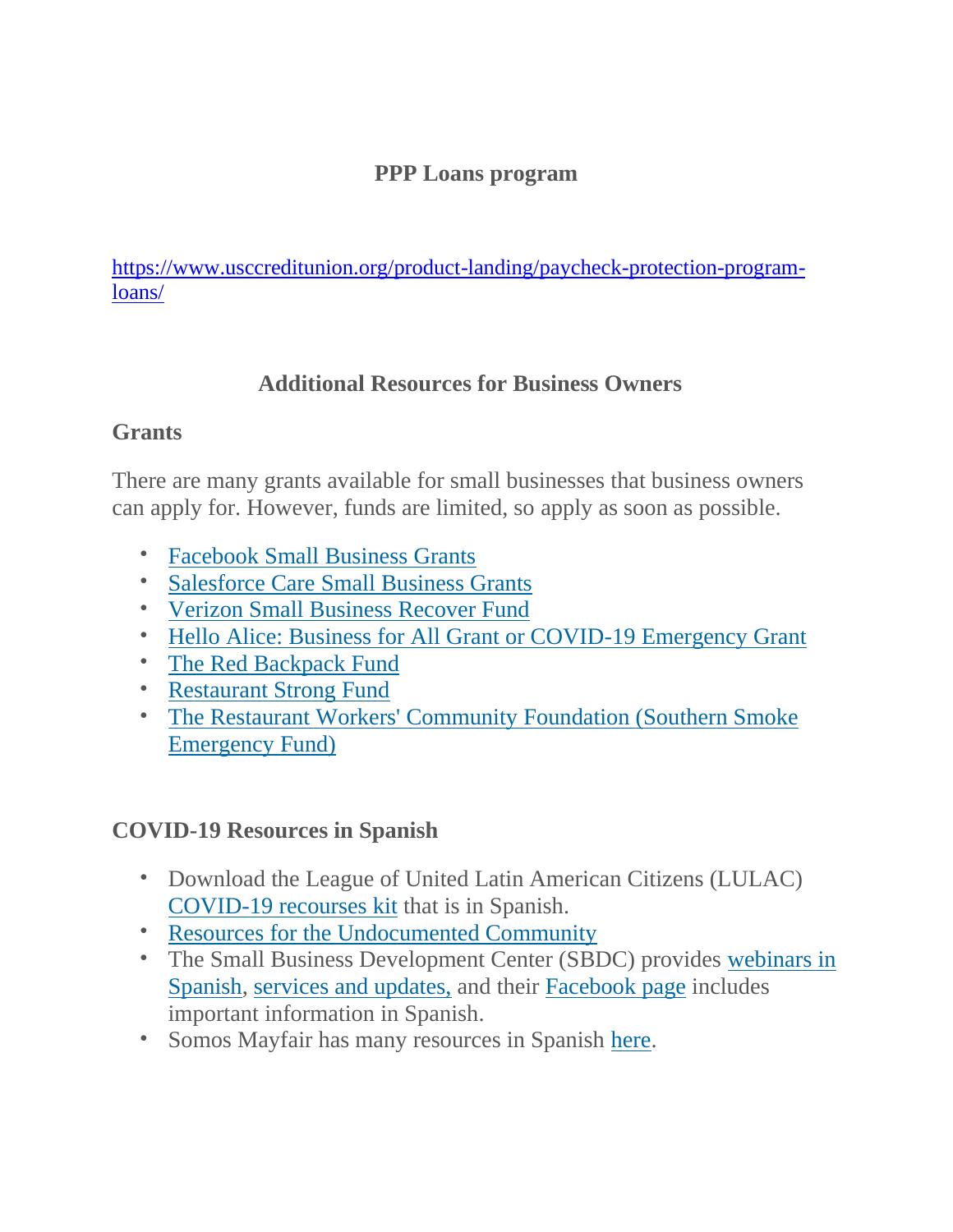### **PPP Loans program**

[https://www.usccreditunion.org/product-landing/paycheck-protection-program](https://www.usccreditunion.org/product-landing/paycheck-protection-program-loans/)[loans/](https://www.usccreditunion.org/product-landing/paycheck-protection-program-loans/)

## **Additional Resources for Business Owners**

### **Grants**

There are many grants available for small businesses that business owners can apply for. However, funds are limited, so apply as soon as possible.

- [Facebook Small Business Grants](http://em.networkforgood.com/ls/click?upn=VAGGw4zHikj3d-2F5242H3Zt3VNsJdH1jV2MI3LxQZ6a7gD4LU32nUpqkdTTmgj5aFnQgdi9vciGIlxqhWlBtqGw-3D-3DmoXb_j4jMPjqlv6k2-2B8Zax2P2jZPHQuqMl510Kju6LfOJ38EejSWxD2jpMWIkGR714ffcVOQT-2BK8KAP2-2Fmj3S0DI8uKHslupnQ8YwvuuZgdBiU3jTaE7T1MI15bN2aL5c5uxk7hFfGSXlz049D-2FFL1GiTiUCdJSgiBtSLd2lbAgjRS5f5QawqARgDx7kV75AtLrMFr5cIOy-2FXZCQY46gCm7WshJk-2F95OTpZ6W-2FnW5HJh3thz8eyPVZNvaWkzkl6SRCAVWLADMni4PQ8ZkZCpKd1kllJVDUllwefzzu495bBC5qgVeag2fgxue97D8ckpSfBDqHSmqmzCmOtKQuegx6vliP1l3B3W8GrLVbUlTeoLNqbE-3D)
- [Salesforce Care Small Business Grants](http://em.networkforgood.com/ls/click?upn=VAGGw4zHikj3d-2F5242H3ZsadJ2Si3Nf9kzZLH5vW030kEnfeSI-2FUGeAG8Sc7Ug1vx8pL_j4jMPjqlv6k2-2B8Zax2P2jZPHQuqMl510Kju6LfOJ38EejSWxD2jpMWIkGR714ffcVOQT-2BK8KAP2-2Fmj3S0DI8uKHslupnQ8YwvuuZgdBiU3jTaE7T1MI15bN2aL5c5uxk7hFfGSXlz049D-2FFL1GiTiUCdJSgiBtSLd2lbAgjRS5dgymycHlhXWigiDO53Bv46BdxR7vzcpH5PugFVTVaEiCnfboLUT3OPCLLwVR5LPa8L3Mk721OPib6Ocs4L-2FMDg8kSdymYWnD2bkEu9lvFUAH0qOUds9L-2FBsjylQsvCvl9vrdqXKkQlGQhjJxyEWldZNJWsUL-2B-2Bhqh22uBn47jW12nWVFcJesvO4W7qmO85Tt8-3D)
- [Verizon Small Business Recover Fund](http://em.networkforgood.com/ls/click?upn=VAGGw4zHikj3d-2F5242H3Zq6kujv394goUpZIavia9QxWoxBM-2FnSN7nr21gwzDW5lYwObdPzQJ9TZlqSZmsloaqDgQildGokGt9VFbNIe0CvAGNVmn0bhhZoQI3rbSpPYx-2F2kdvk-2BrCedRyQsVkTJWW9PEtQjHnCjXyEBDDihl88-2FoUod6tlaiORDZ5BHqgzJDv5e_j4jMPjqlv6k2-2B8Zax2P2jZPHQuqMl510Kju6LfOJ38EejSWxD2jpMWIkGR714ffcVOQT-2BK8KAP2-2Fmj3S0DI8uKHslupnQ8YwvuuZgdBiU3jTaE7T1MI15bN2aL5c5uxk7hFfGSXlz049D-2FFL1GiTiUCdJSgiBtSLd2lbAgjRS5dlaEVmy00LtlsJdm-2Fdnf1rP9gWoJ0X756rSyDBB4a-2Blb41JnMv20CeZJXFNo0rtfaWTDLPw6FiuPnNt7npkNMdtgkahu2GshlUaRKNjW6ho0qOu9lBgvXGPruETCvxrZFT5uUfIq7vq-2FdYYBBKjjluPF9zOOF3yxqTKpheCMEm60RHZsQHtJMpI3SNveX-2FENc-3D)
- [Hello Alice: Business for All Grant or COVID-19 Emergency Grant](http://em.networkforgood.com/ls/click?upn=VAGGw4zHikj3d-2F5242H3ZiPkT2hlQmUw6c4XWosl9iF1w4IZ7W9dK35dsm4NyP5UklSZ577kW3Y1KuCjjP0bCw-3D-3D7YUv_j4jMPjqlv6k2-2B8Zax2P2jZPHQuqMl510Kju6LfOJ38EejSWxD2jpMWIkGR714ffcVOQT-2BK8KAP2-2Fmj3S0DI8uKHslupnQ8YwvuuZgdBiU3jTaE7T1MI15bN2aL5c5uxk7hFfGSXlz049D-2FFL1GiTiUCdJSgiBtSLd2lbAgjRS5epp-2FEnZN6Elv7DcAGiLavAFIWD8c8aUXeX797FAzh43tiBa51K9eTbIzYgw4RwSdGs8scKPpCJjQ3RQSoGBAT1-2BCGZ7iJEZqgH3rNtlnSJJ7gNnD2BlN6BQ56-2B09BME4LhLUhjYUXjAUwEUCbAO-2BsRRCapYC4wD1-2Bw3tQuCL13UVIo2eJqMtqduQDdacn5Zb4-3D)
- [The Red Backpack Fund](http://em.networkforgood.com/ls/click?upn=VAGGw4zHikj3d-2F5242H3Zi6ihK1mVUYx6-2B3FZ2FmFkjl4ubHVnE5EP706nllT3ZtzAjTyygmAdXirLFDaFnUCQ-3D-3DvlL4_j4jMPjqlv6k2-2B8Zax2P2jZPHQuqMl510Kju6LfOJ38EejSWxD2jpMWIkGR714ffcVOQT-2BK8KAP2-2Fmj3S0DI8uKHslupnQ8YwvuuZgdBiU3jTaE7T1MI15bN2aL5c5uxk7hFfGSXlz049D-2FFL1GiTiUCdJSgiBtSLd2lbAgjRS5fHnYfMjjdjDjmB9pNH-2F9UVo3Ymnjpr8EfyCW6Qkh1qDEDdh6PzwEpIzKd2XNkv9-2BrG3kU0EUIb10DnxYoSxD-2F3Qbs1AgNm8-2FkLLFm78ndcpdQr-2BAckSBfngjbnI60DYf-2BIUzBrHxSw6BpVYz3IboaTq1cIqlWQ7wWHbt-2FD1Q3Gok1YknkRnKyxFO76shN-2BzsE-3D)
- [Restaurant Strong Fund](http://em.networkforgood.com/ls/click?upn=VAGGw4zHikj3d-2F5242H3Zv2hrHsVBB3fgsWJBLh90kXoL-2BAmzXrMMs1FI1-2BFjtsi63so0a6TH-2F1ARiRknL-2BpxHF-2FN7JhX6c9BScw8eGGaqCmFEZ5ZVhuRO46KU1uefdT5m25KX-2BJ1bmm-2BPShIy2sIQ-3D-3DXBo2_j4jMPjqlv6k2-2B8Zax2P2jZPHQuqMl510Kju6LfOJ38EejSWxD2jpMWIkGR714ffcVOQT-2BK8KAP2-2Fmj3S0DI8uKHslupnQ8YwvuuZgdBiU3jTaE7T1MI15bN2aL5c5uxk7hFfGSXlz049D-2FFL1GiTiUCdJSgiBtSLd2lbAgjRS5dJPT7UnnyMhhwwAY3C1piDCSSyVyuOLMNpRTp406qPaAnQIDFarsrsVyx2e4az6VlIl3ix-2FcpZZxpzgsQL90ZJ-2Fa7n2TwaY5V5ffsDRDuavOqTOqFEGKby-2FaZ14cjktMYgJh9diKxfYlGj3-2BOO0hRlF8byZG-2FAfPd5dY7fl7z8nkoK4MmdgkRiM2LL7q6EH4s-3D)
- [The Restaurant Workers' Community Foundation \(Southern Smoke](http://em.networkforgood.com/ls/click?upn=VAGGw4zHikj3d-2F5242H3ZrqG4gMZi2IkKL27sJhhdCb4aq8c-2BfqvYDrbmiwId-2BMJAuBLoknJESGhv0Cg0jNM2w-3D-3D2F5c_j4jMPjqlv6k2-2B8Zax2P2jZPHQuqMl510Kju6LfOJ38EejSWxD2jpMWIkGR714ffcVOQT-2BK8KAP2-2Fmj3S0DI8uKHslupnQ8YwvuuZgdBiU3jTaE7T1MI15bN2aL5c5uxk7hFfGSXlz049D-2FFL1GiTiUCdJSgiBtSLd2lbAgjRS5dZaYzVauS7zImas4mNynDIma5XkqVs7RAsAZPFz1g4-2FMl7xrnOIiRc7-2BqfjJhI3HuSx7J7-2FsEoIKUIAitVfSMAMjvCiut8YKfRohj1fFE9mG08LaY8pEVVuHz6dKF-2BwkyqUGHL1kz6GQIpMtSWQC6Fkl9JGkMh-2FBGqUSey3KN76gLMltpGR0QtDpF47xqVDqQ-3D)  [Emergency Fund\)](http://em.networkforgood.com/ls/click?upn=VAGGw4zHikj3d-2F5242H3ZrqG4gMZi2IkKL27sJhhdCb4aq8c-2BfqvYDrbmiwId-2BMJAuBLoknJESGhv0Cg0jNM2w-3D-3D2F5c_j4jMPjqlv6k2-2B8Zax2P2jZPHQuqMl510Kju6LfOJ38EejSWxD2jpMWIkGR714ffcVOQT-2BK8KAP2-2Fmj3S0DI8uKHslupnQ8YwvuuZgdBiU3jTaE7T1MI15bN2aL5c5uxk7hFfGSXlz049D-2FFL1GiTiUCdJSgiBtSLd2lbAgjRS5dZaYzVauS7zImas4mNynDIma5XkqVs7RAsAZPFz1g4-2FMl7xrnOIiRc7-2BqfjJhI3HuSx7J7-2FsEoIKUIAitVfSMAMjvCiut8YKfRohj1fFE9mG08LaY8pEVVuHz6dKF-2BwkyqUGHL1kz6GQIpMtSWQC6Fkl9JGkMh-2FBGqUSey3KN76gLMltpGR0QtDpF47xqVDqQ-3D)

# **COVID-19 Resources in Spanish**

- Download the League of United Latin American Citizens (LULAC) [COVID-19 recourses kit](http://em.networkforgood.com/ls/click?upn=VAGGw4zHikj3d-2F5242H3ZpYIPtX0lWXt1EfSvhGDzxYXySEYh6zuX6aND2Oh8OwhaKFC_j4jMPjqlv6k2-2B8Zax2P2jZPHQuqMl510Kju6LfOJ38EejSWxD2jpMWIkGR714ffcVOQT-2BK8KAP2-2Fmj3S0DI8uKHslupnQ8YwvuuZgdBiU3jTaE7T1MI15bN2aL5c5uxk7hFfGSXlz049D-2FFL1GiTiUCdJSgiBtSLd2lbAgjRS5f4fE8wJo8GbuYGPXrQm-2FaBMbTmGCWt0tbl7wzJrPdXWYbjxuOOc4-2FNYNdS7Csh09N-2FwMVYOaiHeePQ5jtD6V4sc7ri2dTcJ5Oxer-2FoPrg1dPhMdJuc-2Fz4pOUdhu2U9LXeGANfPe3ksfc6HOdHCePmbZI5ODQLuc1rZp85dM-2FXxvxtftwGfPKuWltO9ITPxvd4-3D) that is in Spanish.
- [Resources for the Undocumented Community](http://em.networkforgood.com/ls/click?upn=VAGGw4zHikj3d-2F5242H3ZkimuHzf2uLaJzMHtdmr8A4BmYKC3pfd1tecV6YO-2F-2FI5AkdaEPMluUg1KiZt8gyhsqcmzz1bQxw7E416ln6OUcpqNeVQ9XQpEQkkBKYS6hNzWUWnHRLLJnlmZQzcoB4k-2FA-3D-3Dpd57_j4jMPjqlv6k2-2B8Zax2P2jZPHQuqMl510Kju6LfOJ38EejSWxD2jpMWIkGR714ffcVOQT-2BK8KAP2-2Fmj3S0DI8uKHslupnQ8YwvuuZgdBiU3jTaE7T1MI15bN2aL5c5uxk7hFfGSXlz049D-2FFL1GiTiUCdJSgiBtSLd2lbAgjRS5eUpwdNBr9D52sSlu7qIeqrgCrFcr12fDALukmSXFyyNCY6SB0lfCVBKQDeyuTM2-2B-2BOoDL-2FVKm1qB5xAuxfgdewSZpuhL0AxRNI3UwtmqttJF5Eklgj1KBVpT34CV0z5TmBk7uDqAlzRC3QSxH7spe9ZgS-2BmiSSGfj4I1AiCWt1AlDvaIhqjh1aIhsMSQQkWTw-3D)
- The Small Business Development Center (SBDC) provides [webinars in](http://em.networkforgood.com/ls/click?upn=VAGGw4zHikj3d-2F5242H3ZsoJtftuzYPrrgojaSxKZz1dHZnjhzBQ7ZVOu5puUHpgLxO6nb7M1RrgdqE5JK4UVL2c74G1HFSigEBA8F-2BVu-2F67DVSpNCu57BDIAY7zIFElwaMvV4-2BG6fGlSzCUU6H2j4TSNBaaEHahHEgQTLu6JXaWoGrhL046iTqIywHp24o24rbp_j4jMPjqlv6k2-2B8Zax2P2jZPHQuqMl510Kju6LfOJ38EejSWxD2jpMWIkGR714ffcVOQT-2BK8KAP2-2Fmj3S0DI8uKHslupnQ8YwvuuZgdBiU3jTaE7T1MI15bN2aL5c5uxk7hFfGSXlz049D-2FFL1GiTiUCdJSgiBtSLd2lbAgjRS5cqfRlRdLKc7liTbMpxeVlwK8FpiG0tjpgv5FJnX-2FuYPaGo9Kk-2Fv2-2F0OK757T31sCa7GJnzamXruQjJ04Sw1fOjl-2FxUzrbUhTok7TOQ4sJvSd5P6oMujLW97BLPFt1cVaYuG47Eh5lcxcHaWEWAyJF3T-2FMq8y-2Fc-2FVeTbfrB1IcSJGchNgDZDi-2B39z5sU-2BaSlVM-3D)  [Spanish,](http://em.networkforgood.com/ls/click?upn=VAGGw4zHikj3d-2F5242H3ZsoJtftuzYPrrgojaSxKZz1dHZnjhzBQ7ZVOu5puUHpgLxO6nb7M1RrgdqE5JK4UVL2c74G1HFSigEBA8F-2BVu-2F67DVSpNCu57BDIAY7zIFElwaMvV4-2BG6fGlSzCUU6H2j4TSNBaaEHahHEgQTLu6JXaWoGrhL046iTqIywHp24o24rbp_j4jMPjqlv6k2-2B8Zax2P2jZPHQuqMl510Kju6LfOJ38EejSWxD2jpMWIkGR714ffcVOQT-2BK8KAP2-2Fmj3S0DI8uKHslupnQ8YwvuuZgdBiU3jTaE7T1MI15bN2aL5c5uxk7hFfGSXlz049D-2FFL1GiTiUCdJSgiBtSLd2lbAgjRS5cqfRlRdLKc7liTbMpxeVlwK8FpiG0tjpgv5FJnX-2FuYPaGo9Kk-2Fv2-2F0OK757T31sCa7GJnzamXruQjJ04Sw1fOjl-2FxUzrbUhTok7TOQ4sJvSd5P6oMujLW97BLPFt1cVaYuG47Eh5lcxcHaWEWAyJF3T-2FMq8y-2Fc-2FVeTbfrB1IcSJGchNgDZDi-2B39z5sU-2BaSlVM-3D) [services and updates,](http://em.networkforgood.com/ls/click?upn=VAGGw4zHikj3d-2F5242H3ZrIgU6ns1sC2Y2H1h6VM5ac5V3pXnUR8KGovma9ZfFXRZlfKAIACXFQYUCVoDVtk0w-3D-3DcXhl_j4jMPjqlv6k2-2B8Zax2P2jZPHQuqMl510Kju6LfOJ38EejSWxD2jpMWIkGR714ffcVOQT-2BK8KAP2-2Fmj3S0DI8uKHslupnQ8YwvuuZgdBiU3jTaE7T1MI15bN2aL5c5uxk7hFfGSXlz049D-2FFL1GiTiUCdJSgiBtSLd2lbAgjRS5eIgAgw885Rw3c7wd-2ByNuSUOtCZm2jIJPIrVxtNMvy9g1zJ3LDGV5NOR2cGa1lMmbij711aIlIt-2FMM3IV8b4D92JqKF88oHeJaLLKK0-2FR2sdtud08HeCfS5lizCEna4uWXS7xjK2TKil9z-2FH-2FIY-2FJzdw6vY1MulknEvRr35QVm7iTDDM-2BL5b3yuRzVtbNfan2I-3D) and their [Facebook](http://em.networkforgood.com/ls/click?upn=VAGGw4zHikj3d-2F5242H3Zt3VNsJdH1jV2MI3LxQZ6a4fZTfvt1cz7jvIM-2BzvgqkdpdR5JVs0xeagA9UjLrfOTA-3D-3DpARI_j4jMPjqlv6k2-2B8Zax2P2jZPHQuqMl510Kju6LfOJ38EejSWxD2jpMWIkGR714ffcVOQT-2BK8KAP2-2Fmj3S0DI8uKHslupnQ8YwvuuZgdBiU3jTaE7T1MI15bN2aL5c5uxk7hFfGSXlz049D-2FFL1GiTiUCdJSgiBtSLd2lbAgjRS5eCw58LpfozNRSnfenkd-2F0OO768SmCU1-2BmIlLrtgQ2Kjw6iQfev22fnVM-2FbA0VU1BnfyHOR7Sw3mv7U23LhltFAFTL-2BZrjJmd9qCoyj9LhHc70a4RwYQqYzpE0GwH6Gl0HKjtI-2BCUZWmHlLOyvOGLT7gWEM52Y0UXSZj9gk4-2F4vTGLL0Kk1WbAAK18VkuR69nQ-3D) page includes important information in Spanish.
- Somos Mayfair has many resources in Spanish [here.](http://em.networkforgood.com/ls/click?upn=VAGGw4zHikj3d-2F5242H3ZkimuHzf2uLaJzMHtdmr8A7kBKf4SmauI14JmkAt6iYmeWqhuBv8oRWKMeMo1OndtLRTOswWjHuy9QcuTVhhA96zdlHGIqDDu-2BUDt3m2AlikesNP_j4jMPjqlv6k2-2B8Zax2P2jZPHQuqMl510Kju6LfOJ38EejSWxD2jpMWIkGR714ffcVOQT-2BK8KAP2-2Fmj3S0DI8uKHslupnQ8YwvuuZgdBiU3jTaE7T1MI15bN2aL5c5uxk7hFfGSXlz049D-2FFL1GiTiUCdJSgiBtSLd2lbAgjRS5dHSwOG6tafSePwBMowZ4F1XYslsSG3tj17bW8P6iI23oUitwna1Cap3hC-2F3nb8NXwfMLiRp2bvegEWRnDgjt7uGQwI7Byvg6VQAkAy7ttSieosuJBB9Ic3BBRmJZijgVowB2ie8Q1grScg9yh6V71Qdg1HojoW7KOADaomvscHoTMdEuUjZzuwptVwLLvMU7U-3D)